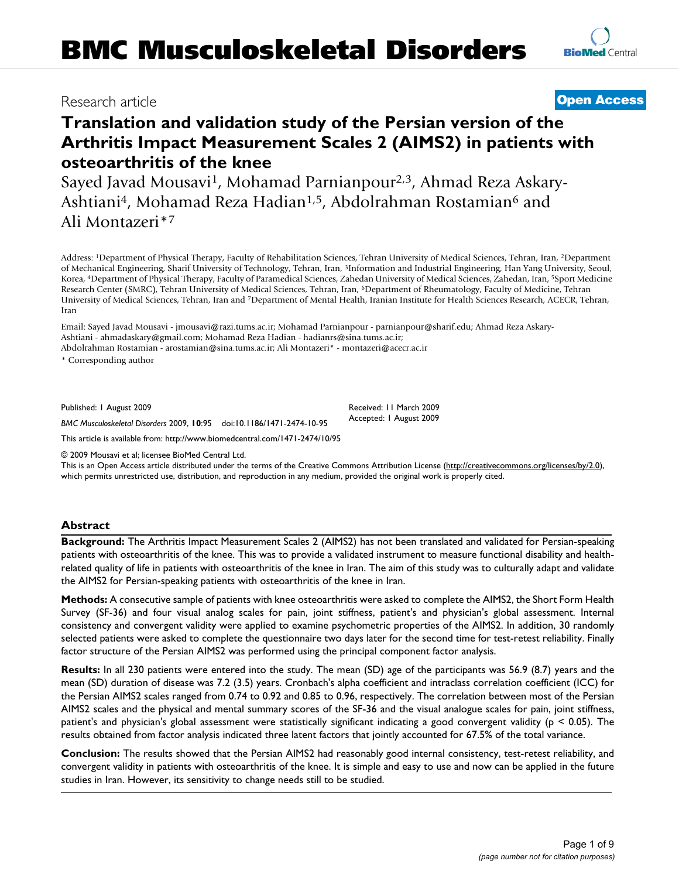## Research article **[Open Access](http://www.biomedcentral.com/info/about/charter/)**

# **Translation and validation study of the Persian version of the Arthritis Impact Measurement Scales 2 (AIMS2) in patients with osteoarthritis of the knee**

Sayed Javad Mousavi<sup>1</sup>, Mohamad Parnianpour<sup>2,3</sup>, Ahmad Reza Askary-Ashtiani<sup>4</sup>, Mohamad Reza Hadian<sup>1,5</sup>, Abdolrahman Rostamian<sup>6</sup> and Ali Montazeri\*7

Address: 1Department of Physical Therapy, Faculty of Rehabilitation Sciences, Tehran University of Medical Sciences, Tehran, Iran, 2Department of Mechanical Engineering, Sharif University of Technology, Tehran, Iran, 3Information and Industrial Engineering, Han Yang University, Seoul, Korea, 4Department of Physical Therapy, Faculty of Paramedical Sciences, Zahedan University of Medical Sciences, Zahedan, Iran, 5Sport Medicine Research Center (SMRC), Tehran University of Medical Sciences, Tehran, Iran, <sup>6</sup>Department of Rheumatology, Faculty of Medicine, Tehran University of Medical Sciences, Tehran, Iran and 7Department of Mental Health, Iranian Institute for Health Sciences Research, ACECR, Tehran, Iran

Email: Sayed Javad Mousavi - jmousavi@razi.tums.ac.ir; Mohamad Parnianpour - parnianpour@sharif.edu; Ahmad Reza Askary-Ashtiani - ahmadaskary@gmail.com; Mohamad Reza Hadian - hadianrs@sina.tums.ac.ir;

Abdolrahman Rostamian - arostamian@sina.tums.ac.ir; Ali Montazeri\* - montazeri@acecr.ac.ir

\* Corresponding author

Published: 1 August 2009

*BMC Musculoskeletal Disorders* 2009, **10**:95 doi:10.1186/1471-2474-10-95

[This article is available from: http://www.biomedcentral.com/1471-2474/10/95](http://www.biomedcentral.com/1471-2474/10/95)

© 2009 Mousavi et al; licensee BioMed Central Ltd.

This is an Open Access article distributed under the terms of the Creative Commons Attribution License [\(http://creativecommons.org/licenses/by/2.0\)](http://creativecommons.org/licenses/by/2.0), which permits unrestricted use, distribution, and reproduction in any medium, provided the original work is properly cited.

#### **Abstract**

**Background:** The Arthritis Impact Measurement Scales 2 (AIMS2) has not been translated and validated for Persian-speaking patients with osteoarthritis of the knee. This was to provide a validated instrument to measure functional disability and healthrelated quality of life in patients with osteoarthritis of the knee in Iran. The aim of this study was to culturally adapt and validate the AIMS2 for Persian-speaking patients with osteoarthritis of the knee in Iran.

**Methods:** A consecutive sample of patients with knee osteoarthritis were asked to complete the AIMS2, the Short Form Health Survey (SF-36) and four visual analog scales for pain, joint stiffness, patient's and physician's global assessment. Internal consistency and convergent validity were applied to examine psychometric properties of the AIMS2. In addition, 30 randomly selected patients were asked to complete the questionnaire two days later for the second time for test-retest reliability. Finally factor structure of the Persian AIMS2 was performed using the principal component factor analysis.

**Results:** In all 230 patients were entered into the study. The mean (SD) age of the participants was 56.9 (8.7) years and the mean (SD) duration of disease was 7.2 (3.5) years. Cronbach's alpha coefficient and intraclass correlation coefficient (ICC) for the Persian AIMS2 scales ranged from 0.74 to 0.92 and 0.85 to 0.96, respectively. The correlation between most of the Persian AIMS2 scales and the physical and mental summary scores of the SF-36 and the visual analogue scales for pain, joint stiffness, patient's and physician's global assessment were statistically significant indicating a good convergent validity (p < 0.05). The results obtained from factor analysis indicated three latent factors that jointly accounted for 67.5% of the total variance.

**Conclusion:** The results showed that the Persian AIMS2 had reasonably good internal consistency, test-retest reliability, and convergent validity in patients with osteoarthritis of the knee. It is simple and easy to use and now can be applied in the future studies in Iran. However, its sensitivity to change needs still to be studied.

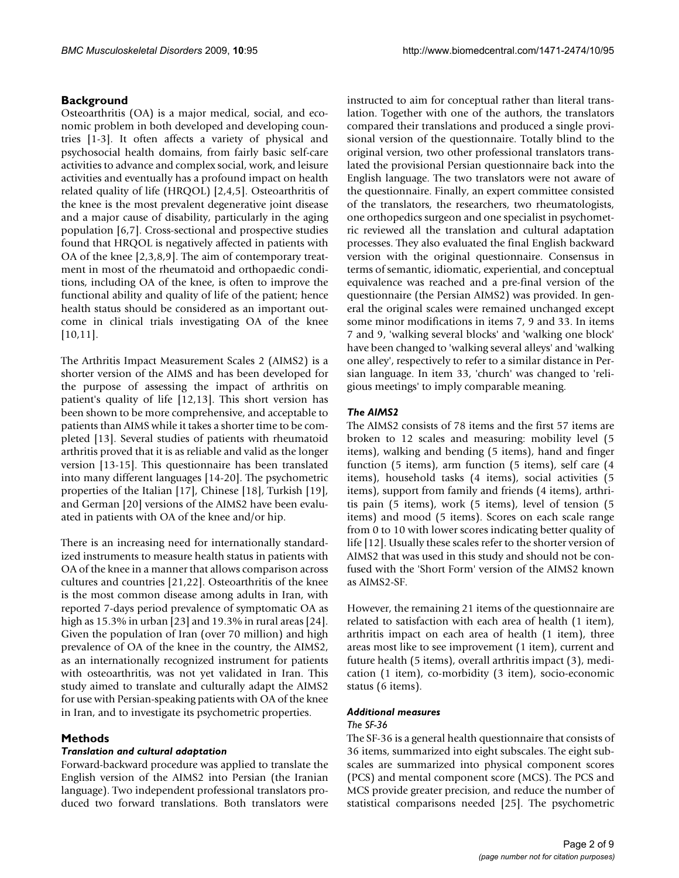### **Background**

Osteoarthritis (OA) is a major medical, social, and economic problem in both developed and developing countries [\[1-](#page-7-0)[3](#page-7-1)]. It often affects a variety of physical and psychosocial health domains, from fairly basic self-care activities to advance and complex social, work, and leisure activities and eventually has a profound impact on health related quality of life (HRQOL) [\[2,](#page-7-2)[4,](#page-7-3)[5\]](#page-7-4). Osteoarthritis of the knee is the most prevalent degenerative joint disease and a major cause of disability, particularly in the aging population [[6](#page-7-5),[7\]](#page-7-6). Cross-sectional and prospective studies found that HRQOL is negatively affected in patients with OA of the knee [[2](#page-7-2),[3](#page-7-1)[,8](#page-7-7)[,9\]](#page-7-8). The aim of contemporary treatment in most of the rheumatoid and orthopaedic conditions, including OA of the knee, is often to improve the functional ability and quality of life of the patient; hence health status should be considered as an important outcome in clinical trials investigating OA of the knee [[10](#page-7-9),[11\]](#page-7-10).

The Arthritis Impact Measurement Scales 2 (AIMS2) is a shorter version of the AIMS and has been developed for the purpose of assessing the impact of arthritis on patient's quality of life [[12](#page-7-11),[13\]](#page-7-12). This short version has been shown to be more comprehensive, and acceptable to patients than AIMS while it takes a shorter time to be completed [\[13](#page-7-12)]. Several studies of patients with rheumatoid arthritis proved that it is as reliable and valid as the longer version [\[13](#page-7-12)[-15\]](#page-7-13). This questionnaire has been translated into many different languages [\[14-](#page-7-14)[20\]](#page-7-15). The psychometric properties of the Italian [[17\]](#page-7-16), Chinese [[18](#page-7-17)], Turkish [\[19](#page-7-18)], and German [[20\]](#page-7-15) versions of the AIMS2 have been evaluated in patients with OA of the knee and/or hip.

There is an increasing need for internationally standardized instruments to measure health status in patients with OA of the knee in a manner that allows comparison across cultures and countries [[21,](#page-7-19)[22](#page-7-20)]. Osteoarthritis of the knee is the most common disease among adults in Iran, with reported 7-days period prevalence of symptomatic OA as high as 15.3% in urban [[23\]](#page-7-21) and 19.3% in rural areas [\[24](#page-7-22)]. Given the population of Iran (over 70 million) and high prevalence of OA of the knee in the country, the AIMS2, as an internationally recognized instrument for patients with osteoarthritis, was not yet validated in Iran. This study aimed to translate and culturally adapt the AIMS2 for use with Persian-speaking patients with OA of the knee in Iran, and to investigate its psychometric properties.

### **Methods**

#### *Translation and cultural adaptation*

Forward-backward procedure was applied to translate the English version of the AIMS2 into Persian (the Iranian language). Two independent professional translators produced two forward translations. Both translators were instructed to aim for conceptual rather than literal translation. Together with one of the authors, the translators compared their translations and produced a single provisional version of the questionnaire. Totally blind to the original version, two other professional translators translated the provisional Persian questionnaire back into the English language. The two translators were not aware of the questionnaire. Finally, an expert committee consisted of the translators, the researchers, two rheumatologists, one orthopedics surgeon and one specialist in psychometric reviewed all the translation and cultural adaptation processes. They also evaluated the final English backward version with the original questionnaire. Consensus in terms of semantic, idiomatic, experiential, and conceptual equivalence was reached and a pre-final version of the questionnaire (the Persian AIMS2) was provided. In general the original scales were remained unchanged except some minor modifications in items 7, 9 and 33. In items 7 and 9, 'walking several blocks' and 'walking one block' have been changed to 'walking several alleys' and 'walking one alley', respectively to refer to a similar distance in Persian language. In item 33, 'church' was changed to 'religious meetings' to imply comparable meaning.

### *The AIMS2*

The AIMS2 consists of 78 items and the first 57 items are broken to 12 scales and measuring: mobility level (5 items), walking and bending (5 items), hand and finger function (5 items), arm function (5 items), self care (4 items), household tasks (4 items), social activities (5 items), support from family and friends (4 items), arthritis pain (5 items), work (5 items), level of tension (5 items) and mood (5 items). Scores on each scale range from 0 to 10 with lower scores indicating better quality of life [[12\]](#page-7-11). Usually these scales refer to the shorter version of AIMS2 that was used in this study and should not be confused with the 'Short Form' version of the AIMS2 known as AIMS2-SF.

However, the remaining 21 items of the questionnaire are related to satisfaction with each area of health (1 item), arthritis impact on each area of health (1 item), three areas most like to see improvement (1 item), current and future health (5 items), overall arthritis impact (3), medication (1 item), co-morbidity (3 item), socio-economic status (6 items).

### *Additional measures*

#### *The SF-36*

The SF-36 is a general health questionnaire that consists of 36 items, summarized into eight subscales. The eight subscales are summarized into physical component scores (PCS) and mental component score (MCS). The PCS and MCS provide greater precision, and reduce the number of statistical comparisons needed [\[25](#page-7-23)]. The psychometric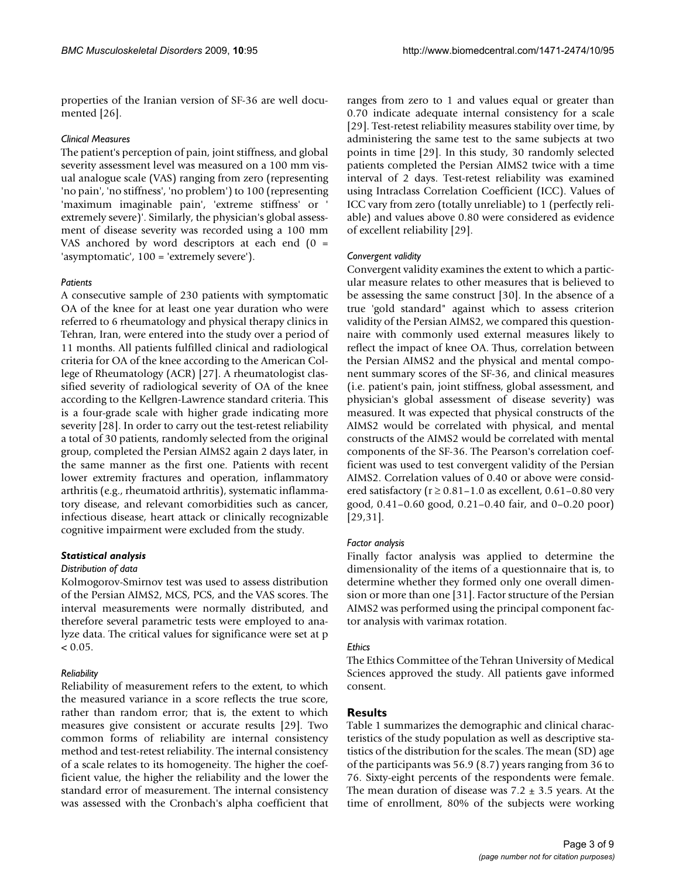properties of the Iranian version of SF-36 are well documented [\[26\]](#page-7-24).

#### *Clinical Measures*

The patient's perception of pain, joint stiffness, and global severity assessment level was measured on a 100 mm visual analogue scale (VAS) ranging from zero (representing 'no pain', 'no stiffness', 'no problem') to 100 (representing 'maximum imaginable pain', 'extreme stiffness' or ' extremely severe)'. Similarly, the physician's global assessment of disease severity was recorded using a 100 mm VAS anchored by word descriptors at each end (0 = 'asymptomatic', 100 = 'extremely severe').

#### *Patients*

A consecutive sample of 230 patients with symptomatic OA of the knee for at least one year duration who were referred to 6 rheumatology and physical therapy clinics in Tehran, Iran, were entered into the study over a period of 11 months. All patients fulfilled clinical and radiological criteria for OA of the knee according to the American College of Rheumatology (ACR) [[27](#page-7-25)]. A rheumatologist classified severity of radiological severity of OA of the knee according to the Kellgren-Lawrence standard criteria. This is a four-grade scale with higher grade indicating more severity [\[28](#page-7-26)]. In order to carry out the test-retest reliability a total of 30 patients, randomly selected from the original group, completed the Persian AIMS2 again 2 days later, in the same manner as the first one. Patients with recent lower extremity fractures and operation, inflammatory arthritis (e.g., rheumatoid arthritis), systematic inflammatory disease, and relevant comorbidities such as cancer, infectious disease, heart attack or clinically recognizable cognitive impairment were excluded from the study.

#### *Statistical analysis*

#### *Distribution of data*

Kolmogorov-Smirnov test was used to assess distribution of the Persian AIMS2, MCS, PCS, and the VAS scores. The interval measurements were normally distributed, and therefore several parametric tests were employed to analyze data. The critical values for significance were set at p  $< 0.05$ .

#### *Reliability*

Reliability of measurement refers to the extent, to which the measured variance in a score reflects the true score, rather than random error; that is, the extent to which measures give consistent or accurate results [\[29](#page-8-0)]. Two common forms of reliability are internal consistency method and test-retest reliability. The internal consistency of a scale relates to its homogeneity. The higher the coefficient value, the higher the reliability and the lower the standard error of measurement. The internal consistency was assessed with the Cronbach's alpha coefficient that

ranges from zero to 1 and values equal or greater than 0.70 indicate adequate internal consistency for a scale [[29](#page-8-0)]. Test-retest reliability measures stability over time, by administering the same test to the same subjects at two points in time [\[29](#page-8-0)]. In this study, 30 randomly selected patients completed the Persian AIMS2 twice with a time interval of 2 days. Test-retest reliability was examined using Intraclass Correlation Coefficient (ICC). Values of ICC vary from zero (totally unreliable) to 1 (perfectly reliable) and values above 0.80 were considered as evidence of excellent reliability [[29\]](#page-8-0).

#### *Convergent validity*

Convergent validity examines the extent to which a particular measure relates to other measures that is believed to be assessing the same construct [\[30](#page-8-1)]. In the absence of a true 'gold standard" against which to assess criterion validity of the Persian AIMS2, we compared this questionnaire with commonly used external measures likely to reflect the impact of knee OA. Thus, correlation between the Persian AIMS2 and the physical and mental component summary scores of the SF-36, and clinical measures (i.e. patient's pain, joint stiffness, global assessment, and physician's global assessment of disease severity) was measured. It was expected that physical constructs of the AIMS2 would be correlated with physical, and mental constructs of the AIMS2 would be correlated with mental components of the SF-36. The Pearson's correlation coefficient was used to test convergent validity of the Persian AIMS2. Correlation values of 0.40 or above were considered satisfactory ( $r \ge 0.81 - 1.0$  as excellent, 0.61-0.80 very good, 0.41–0.60 good, 0.21–0.40 fair, and 0–0.20 poor) [[29](#page-8-0),[31\]](#page-8-2).

#### *Factor analysis*

Finally factor analysis was applied to determine the dimensionality of the items of a questionnaire that is, to determine whether they formed only one overall dimension or more than one [[31](#page-8-2)]. Factor structure of the Persian AIMS2 was performed using the principal component factor analysis with varimax rotation.

#### *Ethics*

The Ethics Committee of the Tehran University of Medical Sciences approved the study. All patients gave informed consent.

#### **Results**

Table [1](#page-3-0) summarizes the demographic and clinical characteristics of the study population as well as descriptive statistics of the distribution for the scales. The mean (SD) age of the participants was 56.9 (8.7) years ranging from 36 to 76. Sixty-eight percents of the respondents were female. The mean duration of disease was  $7.2 \pm 3.5$  years. At the time of enrollment, 80% of the subjects were working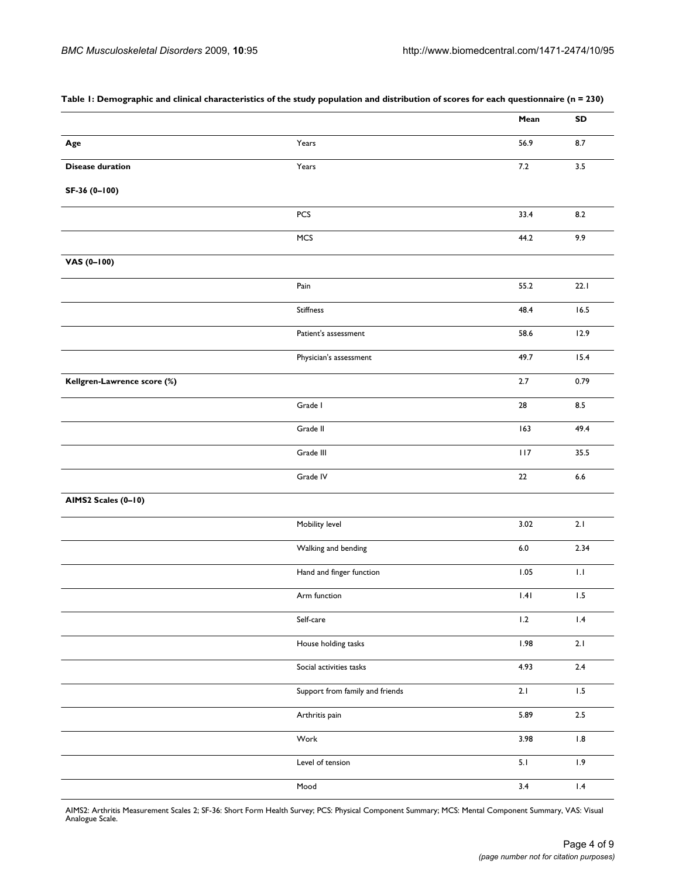|                             |                                 | Mean    | SD            |
|-----------------------------|---------------------------------|---------|---------------|
| Age                         | Years                           | 56.9    | 8.7           |
| <b>Disease duration</b>     | Years                           | $7.2$   | 3.5           |
| SF-36 (0-100)               |                                 |         |               |
|                             | PCS                             | 33.4    | 8.2           |
|                             | MCS                             | 44.2    | 9.9           |
| VAS (0-100)                 |                                 |         |               |
|                             | Pain                            | 55.2    | 22.1          |
|                             | Stiffness                       | 48.4    | 16.5          |
|                             | Patient's assessment            | 58.6    | 12.9          |
|                             | Physician's assessment          | 49.7    | 15.4          |
| Kellgren-Lawrence score (%) |                                 | 2.7     | 0.79          |
|                             | Grade I                         | 28      | 8.5           |
|                             | Grade II                        | 163     | 49.4          |
|                             | Grade III                       | 117     | 35.5          |
|                             | Grade IV                        | $22\,$  | $6.6\,$       |
| AIMS2 Scales (0-10)         |                                 |         |               |
|                             | Mobility level                  | 3.02    | 2.1           |
|                             | Walking and bending             | $6.0\,$ | 2.34          |
|                             | Hand and finger function        | $1.05$  | $1.1\,$       |
|                             | Arm function                    | .4      | 1.5           |
|                             | Self-care                       | $1.2\,$ | $1.4\,$       |
|                             | House holding tasks             | 1.98    | 2.1           |
|                             | Social activities tasks         | 4.93    | 2.4           |
|                             | Support from family and friends | 2.1     | $1.5\,$       |
|                             | Arthritis pain                  | 5.89    | $2.5\,$       |
|                             | Work                            | 3.98    | $\,$ 1.8 $\,$ |
|                             | Level of tension                | 5.1     | 1.9           |
|                             | Mood                            | 3.4     | $1.4\,$       |

#### <span id="page-3-0"></span>**Table 1: Demographic and clinical characteristics of the study population and distribution of scores for each questionnaire (n = 230)**

AIMS2: Arthritis Measurement Scales 2; SF-36: Short Form Health Survey; PCS: Physical Component Summary; MCS: Mental Component Summary, VAS: Visual Analogue Scale.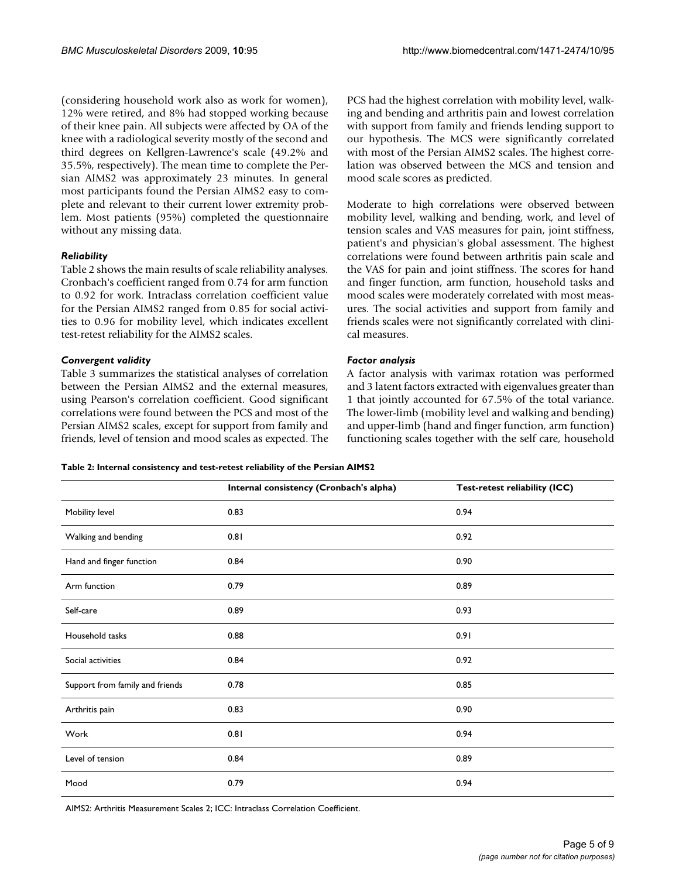(considering household work also as work for women), 12% were retired, and 8% had stopped working because of their knee pain. All subjects were affected by OA of the knee with a radiological severity mostly of the second and third degrees on Kellgren-Lawrence's scale (49.2% and 35.5%, respectively). The mean time to complete the Persian AIMS2 was approximately 23 minutes. In general most participants found the Persian AIMS2 easy to complete and relevant to their current lower extremity problem. Most patients (95%) completed the questionnaire without any missing data.

#### *Reliability*

Table [2](#page-4-0) shows the main results of scale reliability analyses. Cronbach's coefficient ranged from 0.74 for arm function to 0.92 for work. Intraclass correlation coefficient value for the Persian AIMS2 ranged from 0.85 for social activities to 0.96 for mobility level, which indicates excellent test-retest reliability for the AIMS2 scales.

#### *Convergent validity*

Table [3](#page-5-0) summarizes the statistical analyses of correlation between the Persian AIMS2 and the external measures, using Pearson's correlation coefficient. Good significant correlations were found between the PCS and most of the Persian AIMS2 scales, except for support from family and friends, level of tension and mood scales as expected. The PCS had the highest correlation with mobility level, walking and bending and arthritis pain and lowest correlation with support from family and friends lending support to our hypothesis. The MCS were significantly correlated with most of the Persian AIMS2 scales. The highest correlation was observed between the MCS and tension and mood scale scores as predicted.

Moderate to high correlations were observed between mobility level, walking and bending, work, and level of tension scales and VAS measures for pain, joint stiffness, patient's and physician's global assessment. The highest correlations were found between arthritis pain scale and the VAS for pain and joint stiffness. The scores for hand and finger function, arm function, household tasks and mood scales were moderately correlated with most measures. The social activities and support from family and friends scales were not significantly correlated with clinical measures.

#### *Factor analysis*

A factor analysis with varimax rotation was performed and 3 latent factors extracted with eigenvalues greater than 1 that jointly accounted for 67.5% of the total variance. The lower-limb (mobility level and walking and bending) and upper-limb (hand and finger function, arm function) functioning scales together with the self care, household

<span id="page-4-0"></span>**Table 2: Internal consistency and test-retest reliability of the Persian AIMS2**

|                                 | Internal consistency (Cronbach's alpha) | Test-retest reliability (ICC) |
|---------------------------------|-----------------------------------------|-------------------------------|
| Mobility level                  | 0.83                                    | 0.94                          |
| Walking and bending             | 0.81                                    | 0.92                          |
| Hand and finger function        | 0.84                                    | 0.90                          |
| Arm function                    | 0.79                                    | 0.89                          |
| Self-care                       | 0.89                                    | 0.93                          |
| Household tasks                 | 0.88                                    | 0.91                          |
| Social activities               | 0.84                                    | 0.92                          |
| Support from family and friends | 0.78                                    | 0.85                          |
| Arthritis pain                  | 0.83                                    | 0.90                          |
| Work                            | 0.81                                    | 0.94                          |
| Level of tension                | 0.84                                    | 0.89                          |
| Mood                            | 0.79                                    | 0.94                          |

AIMS2: Arthritis Measurement Scales 2; ICC: Intraclass Correlation Coefficient.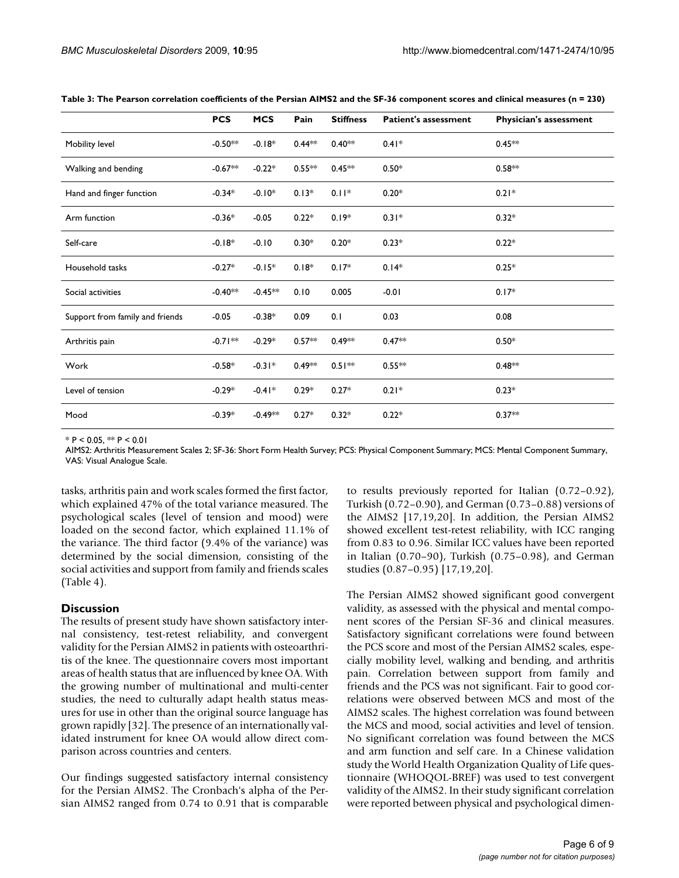|                                 | <b>PCS</b> | <b>MCS</b> | Pain      | <b>Stiffness</b> | <b>Patient's assessment</b> | <b>Physician's assessment</b> |
|---------------------------------|------------|------------|-----------|------------------|-----------------------------|-------------------------------|
| Mobility level                  | $-0.50**$  | $-0.18*$   | $0.44***$ | $0.40**$         | $0.41*$                     | $0.45**$                      |
| Walking and bending             | $-0.67**$  | $-0.22*$   | $0.55**$  | $0.45**$         | $0.50*$                     | $0.58**$                      |
| Hand and finger function        | $-0.34*$   | $-0.10*$   | $0.13*$   | $0.11*$          | $0.20*$                     | $0.21*$                       |
| Arm function                    | $-0.36*$   | $-0.05$    | $0.22*$   | $0.19*$          | $0.31*$                     | $0.32*$                       |
| Self-care                       | $-0.18*$   | $-0.10$    | $0.30*$   | $0.20*$          | $0.23*$                     | $0.22*$                       |
| Household tasks                 | $-0.27*$   | $-0.15*$   | $0.18*$   | $0.17*$          | $0.14*$                     | $0.25*$                       |
| Social activities               | $-0.40**$  | $-0.45**$  | 0.10      | 0.005            | $-0.01$                     | $0.17*$                       |
| Support from family and friends | $-0.05$    | $-0.38*$   | 0.09      | 0.1              | 0.03                        | 0.08                          |
| Arthritis pain                  | $-0.71**$  | $-0.29*$   | $0.57**$  | $0.49**$         | $0.47**$                    | $0.50*$                       |
| Work                            | $-0.58*$   | $-0.31*$   | $0.49**$  | $0.51***$        | $0.55**$                    | $0.48**$                      |
| Level of tension                | $-0.29*$   | $-0.41*$   | $0.29*$   | $0.27*$          | $0.21*$                     | $0.23*$                       |
| Mood                            | $-0.39*$   | $-0.49**$  | $0.27*$   | $0.32*$          | $0.22*$                     | $0.37**$                      |

<span id="page-5-0"></span>**Table 3: The Pearson correlation coefficients of the Persian AIMS2 and the SF-36 component scores and clinical measures (n = 230)**

 $*$  P < 0.05,  $**$  P < 0.01

AIMS2: Arthritis Measurement Scales 2; SF-36: Short Form Health Survey; PCS: Physical Component Summary; MCS: Mental Component Summary, VAS: Visual Analogue Scale.

tasks, arthritis pain and work scales formed the first factor, which explained 47% of the total variance measured. The psychological scales (level of tension and mood) were loaded on the second factor, which explained 11.1% of the variance. The third factor (9.4% of the variance) was determined by the social dimension, consisting of the social activities and support from family and friends scales (Table [4\)](#page-6-0).

#### **Discussion**

The results of present study have shown satisfactory internal consistency, test-retest reliability, and convergent validity for the Persian AIMS2 in patients with osteoarthritis of the knee. The questionnaire covers most important areas of health status that are influenced by knee OA. With the growing number of multinational and multi-center studies, the need to culturally adapt health status measures for use in other than the original source language has grown rapidly [[32\]](#page-8-3). The presence of an internationally validated instrument for knee OA would allow direct comparison across countries and centers.

Our findings suggested satisfactory internal consistency for the Persian AIMS2. The Cronbach's alpha of the Persian AIMS2 ranged from 0.74 to 0.91 that is comparable to results previously reported for Italian (0.72–0.92), Turkish (0.72–0.90), and German (0.73–0.88) versions of the AIMS2 [\[17](#page-7-16),[19,](#page-7-18)[20](#page-7-15)]. In addition, the Persian AIMS2 showed excellent test-retest reliability, with ICC ranging from 0.83 to 0.96. Similar ICC values have been reported in Italian (0.70–90), Turkish (0.75–0.98), and German studies (0.87–0.95) [[17](#page-7-16),[19](#page-7-18)[,20](#page-7-15)].

The Persian AIMS2 showed significant good convergent validity, as assessed with the physical and mental component scores of the Persian SF-36 and clinical measures. Satisfactory significant correlations were found between the PCS score and most of the Persian AIMS2 scales, especially mobility level, walking and bending, and arthritis pain. Correlation between support from family and friends and the PCS was not significant. Fair to good correlations were observed between MCS and most of the AIMS2 scales. The highest correlation was found between the MCS and mood, social activities and level of tension. No significant correlation was found between the MCS and arm function and self care. In a Chinese validation study the World Health Organization Quality of Life questionnaire (WHOQOL-BREF) was used to test convergent validity of the AIMS2. In their study significant correlation were reported between physical and psychological dimen-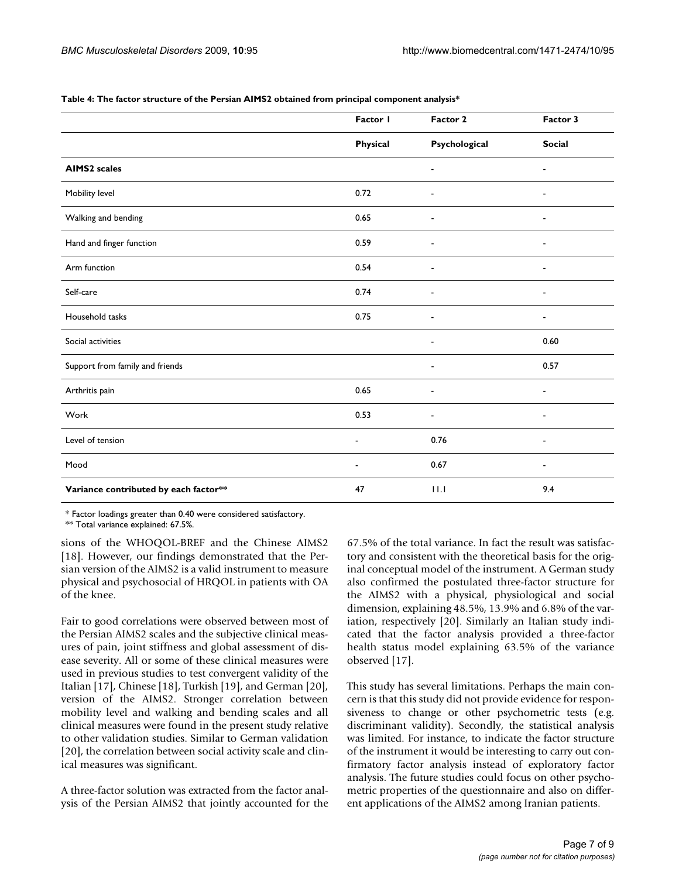|                                       | Factor I                 | Factor 2                     | Factor 3                     |
|---------------------------------------|--------------------------|------------------------------|------------------------------|
|                                       | Physical                 | Psychological                | <b>Social</b>                |
| <b>AIMS2</b> scales                   |                          | $\overline{\phantom{a}}$     | $\blacksquare$               |
| Mobility level                        | 0.72                     | $\overline{\phantom{a}}$     | $\overline{\phantom{a}}$     |
| Walking and bending                   | 0.65                     | ٠                            | ٠                            |
| Hand and finger function              | 0.59                     |                              | $\overline{\phantom{0}}$     |
| Arm function                          | 0.54                     | $\overline{\phantom{a}}$     | $\blacksquare$               |
| Self-care                             | 0.74                     |                              |                              |
| Household tasks                       | 0.75                     | ٠                            | $\qquad \qquad \blacksquare$ |
| Social activities                     |                          | $\overline{\phantom{a}}$     | 0.60                         |
| Support from family and friends       |                          | $\overline{\phantom{a}}$     | 0.57                         |
| Arthritis pain                        | 0.65                     | $\qquad \qquad \blacksquare$ | $\qquad \qquad \blacksquare$ |
| Work                                  | 0.53                     | $\overline{\phantom{0}}$     | $\overline{\phantom{a}}$     |
| Level of tension                      | $\overline{\phantom{a}}$ | 0.76                         | $\blacksquare$               |
| Mood                                  | $\blacksquare$           | 0.67                         | $\overline{\phantom{a}}$     |
| Variance contributed by each factor** | 47                       | 11.1                         | 9.4                          |

<span id="page-6-0"></span>**Table 4: The factor structure of the Persian AIMS2 obtained from principal component analysis\***

\* Factor loadings greater than 0.40 were considered satisfactory.

\*\* Total variance explained: 67.5%.

sions of the WHOQOL-BREF and the Chinese AIMS2 [[18](#page-7-17)]. However, our findings demonstrated that the Persian version of the AIMS2 is a valid instrument to measure physical and psychosocial of HRQOL in patients with OA of the knee.

Fair to good correlations were observed between most of the Persian AIMS2 scales and the subjective clinical measures of pain, joint stiffness and global assessment of disease severity. All or some of these clinical measures were used in previous studies to test convergent validity of the Italian [[17\]](#page-7-16), Chinese [\[18](#page-7-17)], Turkish [\[19](#page-7-18)], and German [\[20](#page-7-15)], version of the AIMS2. Stronger correlation between mobility level and walking and bending scales and all clinical measures were found in the present study relative to other validation studies. Similar to German validation [[20](#page-7-15)], the correlation between social activity scale and clinical measures was significant.

A three-factor solution was extracted from the factor analysis of the Persian AIMS2 that jointly accounted for the 67.5% of the total variance. In fact the result was satisfactory and consistent with the theoretical basis for the original conceptual model of the instrument. A German study also confirmed the postulated three-factor structure for the AIMS2 with a physical, physiological and social dimension, explaining 48.5%, 13.9% and 6.8% of the variation, respectively [\[20\]](#page-7-15). Similarly an Italian study indicated that the factor analysis provided a three-factor health status model explaining 63.5% of the variance observed [[17\]](#page-7-16).

This study has several limitations. Perhaps the main concern is that this study did not provide evidence for responsiveness to change or other psychometric tests (e.g. discriminant validity). Secondly, the statistical analysis was limited. For instance, to indicate the factor structure of the instrument it would be interesting to carry out confirmatory factor analysis instead of exploratory factor analysis. The future studies could focus on other psychometric properties of the questionnaire and also on different applications of the AIMS2 among Iranian patients.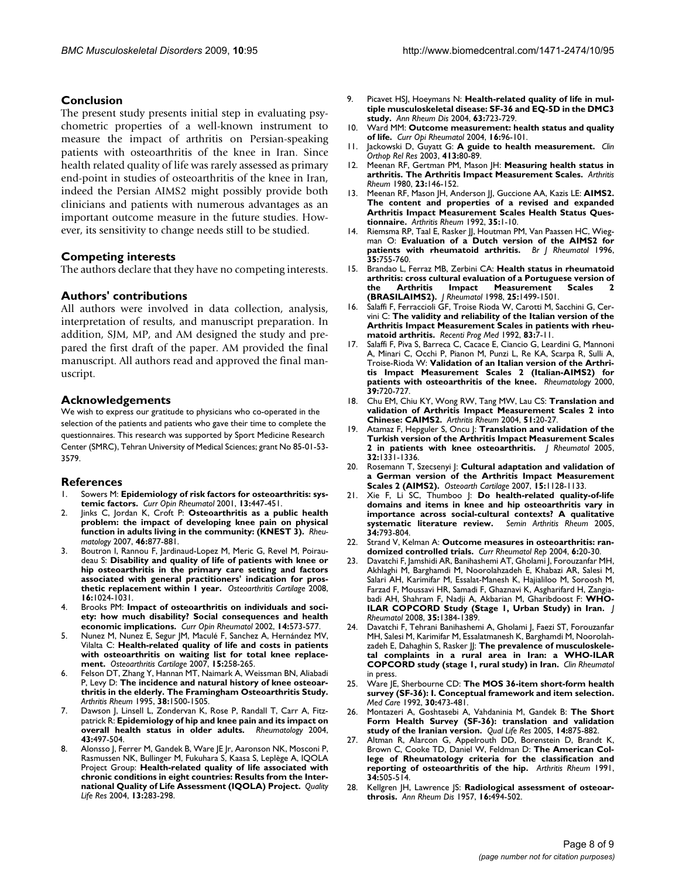#### **Conclusion**

The present study presents initial step in evaluating psychometric properties of a well-known instrument to measure the impact of arthritis on Persian-speaking patients with osteoarthritis of the knee in Iran. Since health related quality of life was rarely assessed as primary end-point in studies of osteoarthritis of the knee in Iran, indeed the Persian AIMS2 might possibly provide both clinicians and patients with numerous advantages as an important outcome measure in the future studies. However, its sensitivity to change needs still to be studied.

#### **Competing interests**

The authors declare that they have no competing interests.

#### **Authors' contributions**

All authors were involved in data collection, analysis, interpretation of results, and manuscript preparation. In addition, SJM, MP, and AM designed the study and prepared the first draft of the paper. AM provided the final manuscript. All authors read and approved the final manuscript.

#### **Acknowledgements**

We wish to express our gratitude to physicians who co-operated in the selection of the patients and patients who gave their time to complete the questionnaires. This research was supported by Sport Medicine Research Center (SMRC), Tehran University of Medical Sciences; grant No 85-01-53- 3579.

#### **References**

- <span id="page-7-0"></span>Sowers M: [Epidemiology of risk factors for osteoarthritis: sys](http://www.ncbi.nlm.nih.gov/entrez/query.fcgi?cmd=Retrieve&db=PubMed&dopt=Abstract&list_uids=11604603)**[temic factors.](http://www.ncbi.nlm.nih.gov/entrez/query.fcgi?cmd=Retrieve&db=PubMed&dopt=Abstract&list_uids=11604603)** *Curr Opin Rheumatol* 2001, **13:**447-451.
- <span id="page-7-2"></span>2. Jinks C, Jordan K, Croft P: **[Osteoarthritis as a public health](http://www.ncbi.nlm.nih.gov/entrez/query.fcgi?cmd=Retrieve&db=PubMed&dopt=Abstract&list_uids=17308312) [problem: the impact of developing knee pain on physical](http://www.ncbi.nlm.nih.gov/entrez/query.fcgi?cmd=Retrieve&db=PubMed&dopt=Abstract&list_uids=17308312) [function in adults living in the community: \(KNEST 3\).](http://www.ncbi.nlm.nih.gov/entrez/query.fcgi?cmd=Retrieve&db=PubMed&dopt=Abstract&list_uids=17308312)** *Rheumatology* 2007, **46:**877-881.
- <span id="page-7-1"></span>3. Boutron I, Rannou F, Jardinaud-Lopez M, Meric G, Revel M, Poiraudeau S: **[Disability and quality of life of patients with knee or](http://www.ncbi.nlm.nih.gov/entrez/query.fcgi?cmd=Retrieve&db=PubMed&dopt=Abstract&list_uids=18276169) [hip osteoarthritis in the primary care setting and factors](http://www.ncbi.nlm.nih.gov/entrez/query.fcgi?cmd=Retrieve&db=PubMed&dopt=Abstract&list_uids=18276169) associated with general practitioners' indication for pros[thetic replacement within 1 year.](http://www.ncbi.nlm.nih.gov/entrez/query.fcgi?cmd=Retrieve&db=PubMed&dopt=Abstract&list_uids=18276169)** *Osteoarthritis Cartilage* 2008, **16:**1024-1031.
- <span id="page-7-3"></span>4. Brooks PM: **[Impact of osteoarthritis on individuals and soci](http://www.ncbi.nlm.nih.gov/entrez/query.fcgi?cmd=Retrieve&db=PubMed&dopt=Abstract&list_uids=12192258)[ety: how much disability? Social consequences and health](http://www.ncbi.nlm.nih.gov/entrez/query.fcgi?cmd=Retrieve&db=PubMed&dopt=Abstract&list_uids=12192258) [economic implications.](http://www.ncbi.nlm.nih.gov/entrez/query.fcgi?cmd=Retrieve&db=PubMed&dopt=Abstract&list_uids=12192258)** *Curr Opin Rheumatol* 2002, **14:**573-577.
- <span id="page-7-4"></span>5. Nunez M, Nunez E, Segur JM, Maculé F, Sanchez A, Hernández MV, Vilalta C: **[Health-related quality of life and costs in patients](http://www.ncbi.nlm.nih.gov/entrez/query.fcgi?cmd=Retrieve&db=PubMed&dopt=Abstract&list_uids=16962795) [with osteoarthritis on waiting list for total knee replace](http://www.ncbi.nlm.nih.gov/entrez/query.fcgi?cmd=Retrieve&db=PubMed&dopt=Abstract&list_uids=16962795)[ment.](http://www.ncbi.nlm.nih.gov/entrez/query.fcgi?cmd=Retrieve&db=PubMed&dopt=Abstract&list_uids=16962795)** *Osteoarthritis Cartilage* 2007, **15:**258-265.
- <span id="page-7-5"></span>6. Felson DT, Zhang Y, Hannan MT, Naimark A, Weissman BN, Aliabadi P, Levy D: **[The incidence and natural history of knee osteoar](http://www.ncbi.nlm.nih.gov/entrez/query.fcgi?cmd=Retrieve&db=PubMed&dopt=Abstract&list_uids=7575700)[thritis in the elderly. The Framingham Osteoarthritis Study.](http://www.ncbi.nlm.nih.gov/entrez/query.fcgi?cmd=Retrieve&db=PubMed&dopt=Abstract&list_uids=7575700)** *Arthritis Rheum* 1995, **38:**1500-1505.
- <span id="page-7-6"></span>7. Dawson J, Linsell L, Zondervan K, Rose P, Randall T, Carr A, Fitzpatrick R: **[Epidemiology of hip and knee pain and its impact on](http://www.ncbi.nlm.nih.gov/entrez/query.fcgi?cmd=Retrieve&db=PubMed&dopt=Abstract&list_uids=14762225) [overall health status in older adults.](http://www.ncbi.nlm.nih.gov/entrez/query.fcgi?cmd=Retrieve&db=PubMed&dopt=Abstract&list_uids=14762225)** *Rheumatology* 2004, **43:**497-504.
- <span id="page-7-7"></span>8. Alonsso J, Ferrer M, Gandek B, Ware JE Jr, Aaronson NK, Mosconi P, Rasmussen NK, Bullinger M, Fukuhara S, Kaasa S, Leplège A, IQOLA Project Group: **Health-related quality of life associated with chronic conditions in eight countries: Results from the International Quality of Life Assessment (IQOLA) Project.** *Quality Life Res* 2004, **13:**283-298.
- <span id="page-7-8"></span>9. Picavet HSJ, Hoeymans N: **[Health-related quality of life in mul](http://www.ncbi.nlm.nih.gov/entrez/query.fcgi?cmd=Retrieve&db=PubMed&dopt=Abstract&list_uids=15140781)[tiple musculoskeletal disease: SF-36 and EQ-5D in the DMC3](http://www.ncbi.nlm.nih.gov/entrez/query.fcgi?cmd=Retrieve&db=PubMed&dopt=Abstract&list_uids=15140781) [study.](http://www.ncbi.nlm.nih.gov/entrez/query.fcgi?cmd=Retrieve&db=PubMed&dopt=Abstract&list_uids=15140781)** *Ann Rheum Dis* 2004, **63:**723-729.
- <span id="page-7-9"></span>10. Ward MM: **Outcome measurement: health status and quality of life.** *Curr Opi Rheumatol* 2004, **16:**96-101.
- <span id="page-7-10"></span>11. Jackowski D, Guyatt G: **A guide to health measurement.** *Clin Orthop Rel Res* 2003, **413:**80-89.
- <span id="page-7-11"></span>12. Meenan RF, Gertman PM, Mason JH: **[Measuring health status in](http://www.ncbi.nlm.nih.gov/entrez/query.fcgi?cmd=Retrieve&db=PubMed&dopt=Abstract&list_uids=7362665) [arthritis. The Arthritis Impact Measurement Scales.](http://www.ncbi.nlm.nih.gov/entrez/query.fcgi?cmd=Retrieve&db=PubMed&dopt=Abstract&list_uids=7362665)** *Arthritis Rheum* 1980, **23:**146-152.
- <span id="page-7-12"></span>13. Meenan RF, Mason JH, Anderson JJ, Guccione AA, Kazis LE: **[AIMS2.](http://www.ncbi.nlm.nih.gov/entrez/query.fcgi?cmd=Retrieve&db=PubMed&dopt=Abstract&list_uids=1731806) [The content and properties of a revised and expanded](http://www.ncbi.nlm.nih.gov/entrez/query.fcgi?cmd=Retrieve&db=PubMed&dopt=Abstract&list_uids=1731806) Arthritis Impact Measurement Scales Health Status Ques[tionnaire.](http://www.ncbi.nlm.nih.gov/entrez/query.fcgi?cmd=Retrieve&db=PubMed&dopt=Abstract&list_uids=1731806)** *Arthritis Rheum* 1992, **35:**1-10.
- <span id="page-7-14"></span>14. Riemsma RP, Taal E, Rasker JJ, Houtman PM, Van Paassen HC, Wiegman O: **[Evaluation of a Dutch version of the AIMS2 for](http://www.ncbi.nlm.nih.gov/entrez/query.fcgi?cmd=Retrieve&db=PubMed&dopt=Abstract&list_uids=8761188) [patients with rheumatoid arthritis.](http://www.ncbi.nlm.nih.gov/entrez/query.fcgi?cmd=Retrieve&db=PubMed&dopt=Abstract&list_uids=8761188)** *Br J Rheumatol* 1996, **35:**755-760.
- <span id="page-7-13"></span>15. Brandao L, Ferraz MB, Zerbini CA: **[Health status in rheumatoid](http://www.ncbi.nlm.nih.gov/entrez/query.fcgi?cmd=Retrieve&db=PubMed&dopt=Abstract&list_uids=9712090) [arthritis: cross cultural evaluation of a Portuguese version of](http://www.ncbi.nlm.nih.gov/entrez/query.fcgi?cmd=Retrieve&db=PubMed&dopt=Abstract&list_uids=9712090) the Arthritis Impact Measurement Scales 2 [\(BRASILAIMS2\).](http://www.ncbi.nlm.nih.gov/entrez/query.fcgi?cmd=Retrieve&db=PubMed&dopt=Abstract&list_uids=9712090)** *J Rheumatol* 1998, **25:**1499-1501.
- 16. Salaffi F, Ferraccioli GF, Troise Rioda W, Carotti M, Sacchini G, Cervini C: **[The validity and reliability of the Italian version of the](http://www.ncbi.nlm.nih.gov/entrez/query.fcgi?cmd=Retrieve&db=PubMed&dopt=Abstract&list_uids=1561484) [Arthritis Impact Measurement Scales in patients with rheu](http://www.ncbi.nlm.nih.gov/entrez/query.fcgi?cmd=Retrieve&db=PubMed&dopt=Abstract&list_uids=1561484)[matoid arthritis.](http://www.ncbi.nlm.nih.gov/entrez/query.fcgi?cmd=Retrieve&db=PubMed&dopt=Abstract&list_uids=1561484)** *Recenti Prog Med* 1992, **83:**7-11.
- <span id="page-7-16"></span>17. Salaffi F, Piva S, Barreca C, Cacace E, Ciancio G, Leardini G, Mannoni A, Minari C, Occhi P, Pianon M, Punzi L, Re KA, Scarpa R, Sulli A, Troise-Rioda W: **[Validation of an Italian version of the Arthri](http://www.ncbi.nlm.nih.gov/entrez/query.fcgi?cmd=Retrieve&db=PubMed&dopt=Abstract&list_uids=10908689)[tis Impact Measurement Scales 2 \(Italian-AIMS2\) for](http://www.ncbi.nlm.nih.gov/entrez/query.fcgi?cmd=Retrieve&db=PubMed&dopt=Abstract&list_uids=10908689) [patients with osteoarthritis of the knee.](http://www.ncbi.nlm.nih.gov/entrez/query.fcgi?cmd=Retrieve&db=PubMed&dopt=Abstract&list_uids=10908689)** *Rheumatology* 2000, **39:**720-727.
- <span id="page-7-17"></span>18. Chu EM, Chiu KY, Wong RW, Tang MW, Lau CS: **[Translation and](http://www.ncbi.nlm.nih.gov/entrez/query.fcgi?cmd=Retrieve&db=PubMed&dopt=Abstract&list_uids=14872451) [validation of Arthritis Impact Measurement Scales 2 into](http://www.ncbi.nlm.nih.gov/entrez/query.fcgi?cmd=Retrieve&db=PubMed&dopt=Abstract&list_uids=14872451) [Chinese: CAIMS2.](http://www.ncbi.nlm.nih.gov/entrez/query.fcgi?cmd=Retrieve&db=PubMed&dopt=Abstract&list_uids=14872451)** *Arthritis Rheum* 2004, **51:**20-27.
- <span id="page-7-18"></span>19. Atamaz F, Hepguler S, Oncu J: **[Translation and validation of the](http://www.ncbi.nlm.nih.gov/entrez/query.fcgi?cmd=Retrieve&db=PubMed&dopt=Abstract&list_uids=15996073) [Turkish version of the Arthritis Impact Measurement Scales](http://www.ncbi.nlm.nih.gov/entrez/query.fcgi?cmd=Retrieve&db=PubMed&dopt=Abstract&list_uids=15996073) [2 in patients with knee osteoarthritis.](http://www.ncbi.nlm.nih.gov/entrez/query.fcgi?cmd=Retrieve&db=PubMed&dopt=Abstract&list_uids=15996073)** *J Rheumatol* 2005, **32:**1331-1336.
- <span id="page-7-15"></span>20. Rosemann T, Szecsenyi J: **Cultural adaptation and validation of a German version of the Arthritis Impact Measurement Scales 2 (AIMS2).** *Osteoarth Cartilage* 2007, **15:**1128-1133.
- <span id="page-7-19"></span>21. Xie F, Li SC, Thumboo J: **[Do health-related quality-of-life](http://www.ncbi.nlm.nih.gov/entrez/query.fcgi?cmd=Retrieve&db=PubMed&dopt=Abstract&list_uids=15942914) [domains and items in knee and hip osteoarthritis vary in](http://www.ncbi.nlm.nih.gov/entrez/query.fcgi?cmd=Retrieve&db=PubMed&dopt=Abstract&list_uids=15942914) importance across social-cultural contexts? A qualitative [systematic literature review.](http://www.ncbi.nlm.nih.gov/entrez/query.fcgi?cmd=Retrieve&db=PubMed&dopt=Abstract&list_uids=15942914)** *Semin Arthritis Rheum* 2005, **34:**793-804.
- <span id="page-7-20"></span>22. Strand V, Kelman A: **[Outcome measures in osteoarthritis: ran](http://www.ncbi.nlm.nih.gov/entrez/query.fcgi?cmd=Retrieve&db=PubMed&dopt=Abstract&list_uids=14713399)[domized controlled trials.](http://www.ncbi.nlm.nih.gov/entrez/query.fcgi?cmd=Retrieve&db=PubMed&dopt=Abstract&list_uids=14713399)** *Curr Rheumatol Rep* 2004, **6:**20-30.
- <span id="page-7-21"></span>23. Davatchi F, Jamshidi AR, Banihashemi AT, Gholami J, Forouzanfar MH, Akhlaghi M, Barghamdi M, Noorolahzadeh E, Khabazi AR, Salesi M, Salari AH, Karimifar M, Essalat-Manesh K, Hajialiloo M, Soroosh M, Farzad F, Moussavi HR, Samadi F, Ghaznavi K, Asgharifard H, Zangiabadi AH, Shahram F, Nadji A, Akbarian M, Gharibdoost F: **[WHO-](http://www.ncbi.nlm.nih.gov/entrez/query.fcgi?cmd=Retrieve&db=PubMed&dopt=Abstract&list_uids=18464299)[ILAR COPCORD Study \(Stage 1, Urban Study\) in Iran.](http://www.ncbi.nlm.nih.gov/entrez/query.fcgi?cmd=Retrieve&db=PubMed&dopt=Abstract&list_uids=18464299)** *J Rheumatol* 2008, **35:**1384-1389.
- <span id="page-7-22"></span>24. Davatchi F, Tehrani Banihashemi A, Gholami J, Faezi ST, Forouzanfar MH, Salesi M, Karimifar M, Essalatmanesh K, Barghamdi M, Noorolahzadeh E, Dahaghin S, Rasker JJ: The prevalence of musculoskele**tal complaints in a rural area in Iran: a WHO-ILAR COPCORD study (stage 1, rural study) in Iran.** *Clin Rheumatol* in press.
- <span id="page-7-23"></span>25. Ware JE, Sherbourne CD: **[The MOS 36-item short-form health](http://www.ncbi.nlm.nih.gov/entrez/query.fcgi?cmd=Retrieve&db=PubMed&dopt=Abstract&list_uids=1593914) [survey \(SF-36\): I. Conceptual framework and item selection.](http://www.ncbi.nlm.nih.gov/entrez/query.fcgi?cmd=Retrieve&db=PubMed&dopt=Abstract&list_uids=1593914)** *Med Care* 1992, **30:**473-481.
- <span id="page-7-24"></span>26. Montazeri A, Goshtasebi A, Vahdaninia M, Gandek B: **[The Short](http://www.ncbi.nlm.nih.gov/entrez/query.fcgi?cmd=Retrieve&db=PubMed&dopt=Abstract&list_uids=16022079) [Form Health Survey \(SF-36\): translation and validation](http://www.ncbi.nlm.nih.gov/entrez/query.fcgi?cmd=Retrieve&db=PubMed&dopt=Abstract&list_uids=16022079) [study of the Iranian version.](http://www.ncbi.nlm.nih.gov/entrez/query.fcgi?cmd=Retrieve&db=PubMed&dopt=Abstract&list_uids=16022079)** *Qual Life Res* 2005, **14:**875-882.
- <span id="page-7-25"></span>27. Altman R, Alarcon G, Appelrouth DD, Borenstein D, Brandt K, Brown C, Cooke TD, Daniel W, Feldman D: **[The American Col](http://www.ncbi.nlm.nih.gov/entrez/query.fcgi?cmd=Retrieve&db=PubMed&dopt=Abstract&list_uids=2025304)[lege of Rheumatology criteria for the classification and](http://www.ncbi.nlm.nih.gov/entrez/query.fcgi?cmd=Retrieve&db=PubMed&dopt=Abstract&list_uids=2025304) [reporting of osteoarthritis of the hip.](http://www.ncbi.nlm.nih.gov/entrez/query.fcgi?cmd=Retrieve&db=PubMed&dopt=Abstract&list_uids=2025304)** *Arthritis Rheum* 1991, **34:**505-514.
- <span id="page-7-26"></span>28. Kellgren JH, Lawrence JS: **[Radiological assessment of osteoar](http://www.ncbi.nlm.nih.gov/entrez/query.fcgi?cmd=Retrieve&db=PubMed&dopt=Abstract&list_uids=13498604)[throsis.](http://www.ncbi.nlm.nih.gov/entrez/query.fcgi?cmd=Retrieve&db=PubMed&dopt=Abstract&list_uids=13498604)** *Ann Rheum Dis* 1957, **16:**494-502.